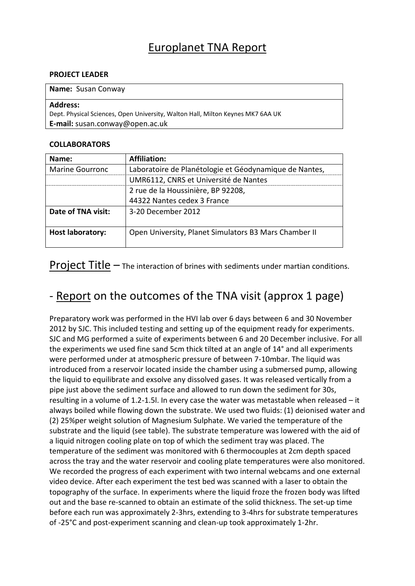## Europlanet TNA Report

### **PROJECT LEADER**

#### **Name:** Susan Conway

#### **Address:**

Dept. Physical Sciences, Open University, Walton Hall, Milton Keynes MK7 6AA UK **E-mail:** susan.conway@open.ac.uk

### **COLLABORATORS**

| Name:                   | <b>Affiliation:</b>                                                                             |  |  |
|-------------------------|-------------------------------------------------------------------------------------------------|--|--|
| <b>Marine Gourronc</b>  | Laboratoire de Planétologie et Géodynamique de Nantes,<br>UMR6112, CNRS et Université de Nantes |  |  |
|                         |                                                                                                 |  |  |
|                         | 2 rue de la Houssinière, BP 92208,                                                              |  |  |
|                         | 44322 Nantes cedex 3 France                                                                     |  |  |
| Date of TNA visit:      | 3-20 December 2012                                                                              |  |  |
|                         |                                                                                                 |  |  |
| <b>Host laboratory:</b> | Open University, Planet Simulators B3 Mars Chamber II                                           |  |  |
|                         |                                                                                                 |  |  |

**Project Title –** The interaction of brines with sediments under martian conditions.

# - Report on the outcomes of the TNA visit (approx 1 page)

Preparatory work was performed in the HVI lab over 6 days between 6 and 30 November 2012 by SJC. This included testing and setting up of the equipment ready for experiments. SJC and MG performed a suite of experiments between 6 and 20 December inclusive. For all the experiments we used fine sand 5cm thick tilted at an angle of 14° and all experiments were performed under at atmospheric pressure of between 7-10mbar. The liquid was introduced from a reservoir located inside the chamber using a submersed pump, allowing the liquid to equilibrate and exsolve any dissolved gases. It was released vertically from a pipe just above the sediment surface and allowed to run down the sediment for 30s, resulting in a volume of 1.2-1.5l. In every case the water was metastable when released – it always boiled while flowing down the substrate. We used two fluids: (1) deionised water and (2) 25%per weight solution of Magnesium Sulphate. We varied the temperature of the substrate and the liquid (see table). The substrate temperature was lowered with the aid of a liquid nitrogen cooling plate on top of which the sediment tray was placed. The temperature of the sediment was monitored with 6 thermocouples at 2cm depth spaced across the tray and the water reservoir and cooling plate temperatures were also monitored. We recorded the progress of each experiment with two internal webcams and one external video device. After each experiment the test bed was scanned with a laser to obtain the topography of the surface. In experiments where the liquid froze the frozen body was lifted out and the base re-scanned to obtain an estimate of the solid thickness. The set-up time before each run was approximately 2-3hrs, extending to 3-4hrs for substrate temperatures of -25°C and post-experiment scanning and clean-up took approximately 1-2hr.